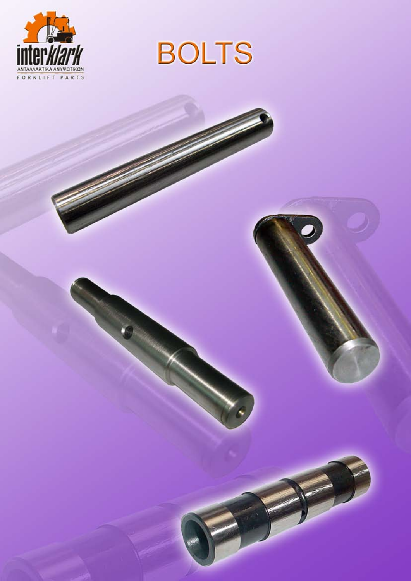



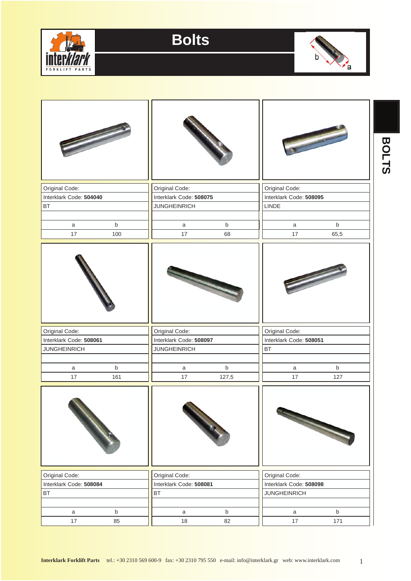



|                         |                            | <b>Communication</b>        |  |
|-------------------------|----------------------------|-----------------------------|--|
| Original Code:          | Original Code:             | Original Code:              |  |
| Interklark Code: 504040 | Interklark Code: 508075    | Interklark Code: 508095     |  |
| <b>BT</b>               | <b>JUNGHEINRICH</b>        | LINDE                       |  |
|                         |                            |                             |  |
| $\sf b$<br>a            | $\sf b$<br>a               | $\mathsf b$<br>a            |  |
| 17<br>100               | 17<br>68                   | 17<br>65,5                  |  |
|                         |                            |                             |  |
| Original Code:          | Original Code:             | Original Code:              |  |
| Interklark Code: 508061 | Interklark Code: 508097    | Interklark Code: 508051     |  |
| <b>JUNGHEINRICH</b>     | <b>JUNGHEINRICH</b>        | BT                          |  |
| $\sf b$<br>a            | $\mathsf b$<br>a           | $\mathsf b$<br>a            |  |
| 17<br>161               | 17<br>127,5                | 17<br>127                   |  |
|                         |                            |                             |  |
| Original Code:          | Original Code:             | Original Code:              |  |
| Interklark Code: 508084 | Interklark Code: 508081    | Interklark Code: 508098     |  |
| <b>BT</b>               | BT                         | <b>JUNGHEINRICH</b>         |  |
| $\sf b$<br>$\mathsf{a}$ | $\mathsf b$<br>$\mathsf a$ | $\mathsf b$<br>$\mathsf{a}$ |  |
| 17<br>85                | 18<br>82                   | 17<br>171                   |  |

1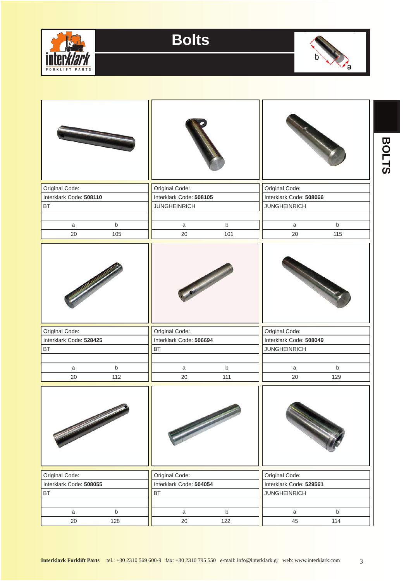



| Original Code:           | Original Code:          | Original Code:              |  |  |
|--------------------------|-------------------------|-----------------------------|--|--|
| Interklark Code: 508110  | Interklark Code: 508105 | Interklark Code: 508066     |  |  |
| <b>BT</b>                | <b>JUNGHEINRICH</b>     | <b>JUNGHEINRICH</b>         |  |  |
|                          |                         |                             |  |  |
| $\sf b$<br>$\mathsf{a}$  | b<br>$\mathsf{a}$       | $\mathsf b$<br>$\mathsf{a}$ |  |  |
| 20<br>105                | 20<br>101               | 20<br>115                   |  |  |
|                          |                         |                             |  |  |
| Original Code:           | Original Code:          | Original Code:              |  |  |
| Interklark Code: 528425  | Interklark Code: 506694 | Interklark Code: 508049     |  |  |
| <b>BT</b>                | <b>BT</b>               | <b>JUNGHEINRICH</b>         |  |  |
| $\sf b$                  | b<br>$\mathsf{a}$       | $\mathsf b$                 |  |  |
| $\mathsf a$<br>20<br>112 | $20\,$<br>111           | a<br>20<br>129              |  |  |
|                          |                         |                             |  |  |
|                          |                         |                             |  |  |
| Original Code:           | Original Code:          | Original Code:              |  |  |
| Interklark Code: 508055  | Interklark Code: 504054 | Interklark Code: 529561     |  |  |
| <b>BT</b>                | <b>BT</b>               | <b>JUNGHEINRICH</b>         |  |  |
| $\sf b$<br>$\mathsf a$   | $\sf b$<br>$\mathsf{a}$ | $\mathsf b$<br>$\mathsf{a}$ |  |  |
| 128<br>20                | 122<br>20               | 45<br>114                   |  |  |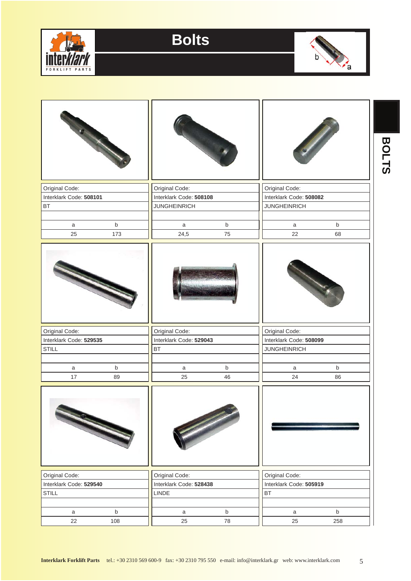



|                         |             |                         |             |                         |             | <b>BOLTS</b> |
|-------------------------|-------------|-------------------------|-------------|-------------------------|-------------|--------------|
| Original Code:          |             | Original Code:          |             | Original Code:          |             |              |
| Interklark Code: 508101 |             | Interklark Code: 508108 |             | Interklark Code: 508082 |             |              |
| <b>BT</b>               |             | <b>JUNGHEINRICH</b>     |             | <b>JUNGHEINRICH</b>     |             |              |
|                         |             |                         |             |                         |             |              |
| a                       | $\mathsf b$ | a                       | $\mathsf b$ | a                       | $\mathsf b$ |              |
| 25                      | 173         | 24,5                    | 75          | 22                      | 68          |              |
|                         |             |                         |             |                         |             |              |
| Original Code:          |             | Original Code:          |             | Original Code:          |             |              |
| Interklark Code: 529535 |             | Interklark Code: 529043 |             | Interklark Code: 508099 |             |              |
| <b>STILL</b>            |             | BT                      |             | <b>JUNGHEINRICH</b>     |             |              |
|                         |             |                         |             |                         |             |              |
| a                       | $\mathsf b$ | a                       | $\mathsf b$ | a                       | $\mathsf b$ |              |
| 17                      | 89          | 25                      | 46          | 24                      | 86          |              |
|                         |             |                         |             |                         |             |              |
| Original Code:          |             | Original Code:          |             | Original Code:          |             |              |
| Interklark Code: 529540 |             | Interklark Code: 528438 |             | Interklark Code: 505919 |             |              |
| STILL                   |             | LINDE                   |             | $\mathsf{BT}$           |             |              |
|                         |             |                         |             |                         |             |              |
| $\mathsf{a}$            | $\sf b$     | $\mathsf{a}$            | $\mathsf b$ | $\mathsf{a}$            | $\mathsf b$ |              |
| 22                      | 108         | 25                      | ${\bf 78}$  | 25                      | 258         |              |

5